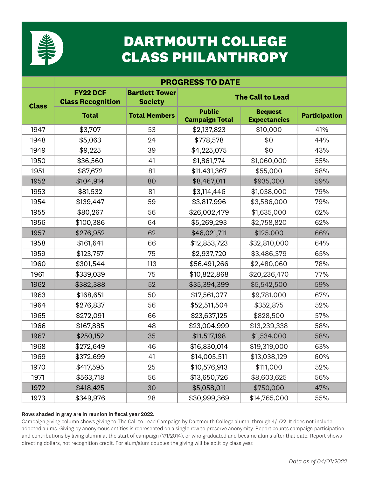

# **DARTMOUTH COLLEGE CLASS PHILANTHROPY**

|              | <b>PROGRESS TO DATE</b>                     |                                         |                                        |                                       |                      |  |  |
|--------------|---------------------------------------------|-----------------------------------------|----------------------------------------|---------------------------------------|----------------------|--|--|
| <b>Class</b> | <b>FY22 DCF</b><br><b>Class Recognition</b> | <b>Bartlett Tower</b><br><b>Society</b> | <b>The Call to Lead</b>                |                                       |                      |  |  |
|              | <b>Total</b>                                | <b>Total Members</b>                    | <b>Public</b><br><b>Campaign Total</b> | <b>Bequest</b><br><b>Expectancies</b> | <b>Participation</b> |  |  |
| 1947         | \$3,707                                     | 53                                      | \$2,137,823                            | \$10,000                              | 41%                  |  |  |
| 1948         | \$5,063                                     | 24                                      | \$778,578                              | \$0                                   | 44%                  |  |  |
| 1949         | \$9,225                                     | 39                                      | \$4,225,075                            | \$0                                   | 43%                  |  |  |
| 1950         | \$36,560                                    | 41                                      | \$1,861,774                            | \$1,060,000                           | 55%                  |  |  |
| 1951         | \$87,672                                    | 81                                      | \$11,431,367                           | \$55,000                              | 58%                  |  |  |
| 1952         | \$104,914                                   | 80                                      | \$8,467,011                            | \$935,000                             | 59%                  |  |  |
| 1953         | \$81,532                                    | 81                                      | \$3,114,446                            | \$1,038,000                           | 79%                  |  |  |
| 1954         | \$139,447                                   | 59                                      | \$3,817,996                            | \$3,586,000                           | 79%                  |  |  |
| 1955         | \$80,267                                    | 56                                      | \$26,002,479                           | \$1,635,000                           | 62%                  |  |  |
| 1956         | \$100,386                                   | 64                                      | \$5,269,293                            | \$2,758,820                           | 62%                  |  |  |
| 1957         | \$276,952                                   | 62                                      | \$46,021,711                           | \$125,000                             | 66%                  |  |  |
| 1958         | \$161,641                                   | 66                                      | \$12,853,723                           | \$32,810,000                          | 64%                  |  |  |
| 1959         | \$123,757                                   | 75                                      | \$2,937,720                            | \$3,486,379                           | 65%                  |  |  |
| 1960         | \$301,544                                   | 113                                     | \$56,491,266                           | \$2,480,060                           | 78%                  |  |  |
| 1961         | \$339,039                                   | 75                                      | \$10,822,868                           | \$20,236,470                          | 77%                  |  |  |
| 1962         | \$382,388                                   | 52                                      | \$35,394,399                           | \$5,542,500                           | 59%                  |  |  |
| 1963         | \$168,651                                   | 50                                      | \$17,561,077                           | \$9,781,000                           | 67%                  |  |  |
| 1964         | \$276,837                                   | 56                                      | \$52,511,504                           | \$352,875                             | 52%                  |  |  |
| 1965         | \$272,091                                   | 66                                      | \$23,637,125                           | \$828,500                             | 57%                  |  |  |
| 1966         | \$167,885                                   | 48                                      | \$23,004,999                           | \$13,239,338                          | 58%                  |  |  |
| 1967         | \$250,152                                   | 35                                      | \$11,517,198                           | \$1,534,000                           | 58%                  |  |  |
| 1968         | \$272,649                                   | 46                                      | \$16,830,014                           | \$19,319,000                          | 63%                  |  |  |
| 1969         | \$372,699                                   | 41                                      | \$14,005,511                           | \$13,038,129                          | 60%                  |  |  |
| 1970         | \$417,595                                   | 25                                      | \$10,576,913                           | \$111,000                             | 52%                  |  |  |
| 1971         | \$563,718                                   | 56                                      | \$13,650,726                           | \$8,603,625                           | 56%                  |  |  |
| 1972         | \$418,425                                   | 30                                      | \$5,058,011                            | \$750,000                             | 47%                  |  |  |
| 1973         | \$349,976                                   | 28                                      | \$30,999,369                           | \$14,765,000                          | 55%                  |  |  |

### Rows shaded in gray are in reunion in fiscal year 2022.

Campaign giving column shows giving to The Call to Lead Campaign by Dartmouth College alumni through 4/1/22. It does not include adopted alums. Giving by anonymous entities is represented on a single row to preserve anonymity. Report counts campaign participation and contributions by living alumni at the start of campaign (7/1/2014), or who graduated and became alums after that date. Report shows directing dollars, not recognition credit. For alum/alum couples the giving will be split by class year.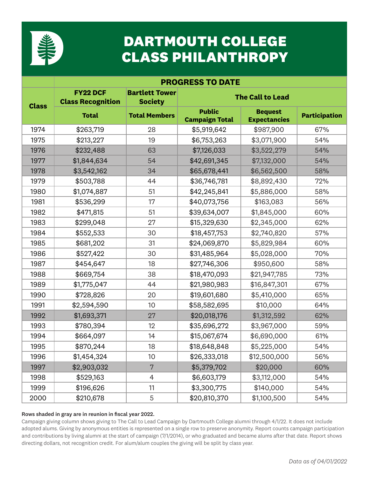

# **DARTMOUTH COLLEGE CLASS PHILANTHROPY**

|              | <b>PROGRESS TO DATE</b>                     |                                         |                                        |                                       |                      |  |  |
|--------------|---------------------------------------------|-----------------------------------------|----------------------------------------|---------------------------------------|----------------------|--|--|
| <b>Class</b> | <b>FY22 DCF</b><br><b>Class Recognition</b> | <b>Bartlett Tower</b><br><b>Society</b> | <b>The Call to Lead</b>                |                                       |                      |  |  |
|              | <b>Total</b>                                | <b>Total Members</b>                    | <b>Public</b><br><b>Campaign Total</b> | <b>Bequest</b><br><b>Expectancies</b> | <b>Participation</b> |  |  |
| 1974         | \$263,719                                   | 28                                      | \$5,919,642                            | \$987,900                             | 67%                  |  |  |
| 1975         | \$213,227                                   | 19                                      | \$6,753,263                            | \$3,071,900                           | 54%                  |  |  |
| 1976         | \$232,488                                   | 63                                      | \$7,126,033                            | \$3,522,279                           | 54%                  |  |  |
| 1977         | \$1,844,634                                 | 54                                      | \$42,691,345                           | \$7,132,000                           | 54%                  |  |  |
| 1978         | \$3,542,162                                 | 34                                      | \$65,678,441                           | \$6,562,500                           | 58%                  |  |  |
| 1979         | \$503,788                                   | 44                                      | \$36,746,781                           | \$8,892,430                           | 72%                  |  |  |
| 1980         | \$1,074,887                                 | 51                                      | \$42,245,841                           | \$5,886,000                           | 58%                  |  |  |
| 1981         | \$536,299                                   | 17                                      | \$40,073,756                           | \$163,083                             | 56%                  |  |  |
| 1982         | \$471,815                                   | 51                                      | \$39,634,007                           | \$1,845,000                           | 60%                  |  |  |
| 1983         | \$299,048                                   | 27                                      | \$15,329,630                           | \$2,345,000                           | 62%                  |  |  |
| 1984         | \$552,533                                   | 30                                      | \$18,457,753                           | \$2,740,820                           | 57%                  |  |  |
| 1985         | \$681,202                                   | 31                                      | \$24,069,870                           | \$5,829,984                           | 60%                  |  |  |
| 1986         | \$527,422                                   | 30                                      | \$31,485,964                           | \$5,028,000                           | 70%                  |  |  |
| 1987         | \$454,647                                   | 18                                      | \$27,746,306                           | \$950,600                             | 58%                  |  |  |
| 1988         | \$669,754                                   | 38                                      | \$18,470,093                           | \$21,947,785                          | 73%                  |  |  |
| 1989         | \$1,775,047                                 | 44                                      | \$21,980,983                           | \$16,847,301                          | 67%                  |  |  |
| 1990         | \$728,826                                   | 20                                      | \$19,601,680                           | \$5,410,000                           | 65%                  |  |  |
| 1991         | \$2,594,590                                 | 10                                      | \$58,582,695                           | \$10,000                              | 64%                  |  |  |
| 1992         | \$1,693,371                                 | 27                                      | \$20,018,176                           | \$1,312,592                           | 62%                  |  |  |
| 1993         | \$780,394                                   | 12                                      | \$35,696,272                           | \$3,967,000                           | 59%                  |  |  |
| 1994         | \$664,097                                   | 14                                      | \$15,067,674                           | \$6,690,000                           | 61%                  |  |  |
| 1995         | \$870,244                                   | 18                                      | \$18,648,848                           | \$5,225,000                           | 54%                  |  |  |
| 1996         | \$1,454,324                                 | 10                                      | \$26,333,018                           | \$12,500,000                          | 56%                  |  |  |
| 1997         | \$2,903,032                                 | 7                                       | \$5,379,702                            | \$20,000                              | 60%                  |  |  |
| 1998         | \$529,163                                   | $\overline{4}$                          | \$6,603,179                            | \$3,112,000                           | 54%                  |  |  |
| 1999         | \$196,626                                   | 11                                      | \$3,300,775                            | \$140,000                             | 54%                  |  |  |
| 2000         | \$210,678                                   | 5                                       | \$20,810,370                           | \$1,100,500                           | 54%                  |  |  |

### Rows shaded in gray are in reunion in fiscal year 2022.

Campaign giving column shows giving to The Call to Lead Campaign by Dartmouth College alumni through 4/1/22. It does not include adopted alums. Giving by anonymous entities is represented on a single row to preserve anonymity. Report counts campaign participation and contributions by living alumni at the start of campaign (7/1/2014), or who graduated and became alums after that date. Report shows directing dollars, not recognition credit. For alum/alum couples the giving will be split by class year.